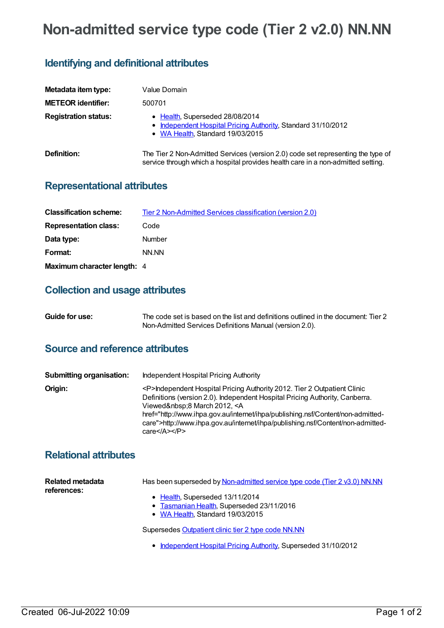# **Non-admitted service type code (Tier 2 v2.0) NN.NN**

## **Identifying and definitional attributes**

| Metadata item type:         | Value Domain                                                                                                                                                         |
|-----------------------------|----------------------------------------------------------------------------------------------------------------------------------------------------------------------|
| <b>METEOR identifier:</b>   | 500701                                                                                                                                                               |
| <b>Registration status:</b> | • Health, Superseded 28/08/2014<br>• Independent Hospital Pricing Authority, Standard 31/10/2012<br>• WA Health, Standard 19/03/2015                                 |
| Definition:                 | The Tier 2 Non-Admitted Services (version 2.0) code set representing the type of<br>service through which a hospital provides health care in a non-admitted setting. |

### **Representational attributes**

| <b>Classification scheme:</b> | <b>Tier 2 Non-Admitted Services classification (version 2.0)</b> |
|-------------------------------|------------------------------------------------------------------|
| <b>Representation class:</b>  | Code                                                             |
| Data type:                    | <b>Number</b>                                                    |
| Format:                       | NN NN                                                            |
| Maximum character length: 4   |                                                                  |

#### **Collection and usage attributes**

| Guide for use: | The code set is based on the list and definitions outlined in the document: Tier 2 |
|----------------|------------------------------------------------------------------------------------|
|                | Non-Admitted Services Definitions Manual (version 2.0).                            |

## **Source and reference attributes**

| <b>Submitting organisation:</b> | Independent Hospital Pricing Authority                                                                                                                                                                                                                                                                                                                                                                                                                       |
|---------------------------------|--------------------------------------------------------------------------------------------------------------------------------------------------------------------------------------------------------------------------------------------------------------------------------------------------------------------------------------------------------------------------------------------------------------------------------------------------------------|
| Origin:                         | <p>Independent Hospital Pricing Authority 2012. Tier 2 Outpatient Clinic<br/>Definitions (version 2.0). Independent Hospital Pricing Authority, Canberra.<br/>Viewed :8 March 2012, <a<br>href="http://www.ihpa.gov.au/internet/ihpa/publishing.nsf/Content/non-admitted-<br/>care"&gt;http://www.ihpa.gov.au/internet/ihpa/publishing.nsf/Content/non-admitted-<br/>care<math>&lt;</math>/A<math>&gt;</math><math>&lt;</math>/P<math>&gt;</math></a<br></p> |

## **Relational attributes**

| Related metadata<br>references: | Has been superseded by Non-admitted service type code (Tier 2 v3.0) NN.NN |
|---------------------------------|---------------------------------------------------------------------------|
|                                 | • Health, Superseded 13/11/2014                                           |
|                                 | • Tasmanian Health, Superseded 23/11/2016                                 |
|                                 | • WA Health, Standard 19/03/2015                                          |
|                                 | Supersedes Outpatient clinic tier 2 type code NN.NN                       |

• [Independent](https://meteor.aihw.gov.au/RegistrationAuthority/3) Hospital Pricing Authority, Superseded 31/10/2012